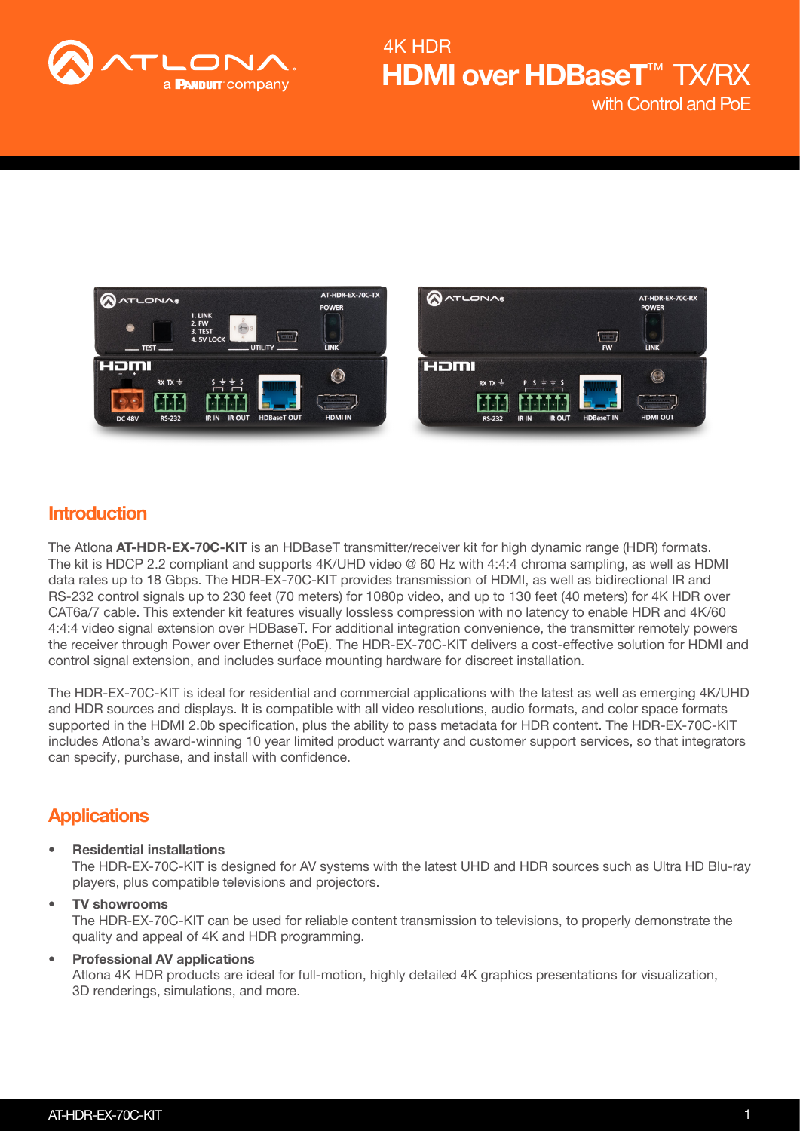



### **Introduction**

The Atlona AT-HDR-EX-70C-KIT is an HDBaseT transmitter/receiver kit for high dynamic range (HDR) formats. The kit is HDCP 2.2 compliant and supports 4K/UHD video @ 60 Hz with 4:4:4 chroma sampling, as well as HDMI data rates up to 18 Gbps. The HDR-EX-70C-KIT provides transmission of HDMI, as well as bidirectional IR and RS-232 control signals up to 230 feet (70 meters) for 1080p video, and up to 130 feet (40 meters) for 4K HDR over CAT6a/7 cable. This extender kit features visually lossless compression with no latency to enable HDR and 4K/60 4:4:4 video signal extension over HDBaseT. For additional integration convenience, the transmitter remotely powers the receiver through Power over Ethernet (PoE). The HDR-EX-70C-KIT delivers a cost-effective solution for HDMI and control signal extension, and includes surface mounting hardware for discreet installation.

The HDR-EX-70C-KIT is ideal for residential and commercial applications with the latest as well as emerging 4K/UHD and HDR sources and displays. It is compatible with all video resolutions, audio formats, and color space formats supported in the HDMI 2.0b specification, plus the ability to pass metadata for HDR content. The HDR-EX-70C-KIT includes Atlona's award-winning 10 year limited product warranty and customer support services, so that integrators can specify, purchase, and install with confidence.

### **Applications**

• Residential installations

The HDR-EX-70C-KIT is designed for AV systems with the latest UHD and HDR sources such as Ultra HD Blu-ray players, plus compatible televisions and projectors.

#### • TV showrooms The HDR-EX-70C-KIT can be used for reliable content transmission to televisions, to properly demonstrate the quality and appeal of 4K and HDR programming.

#### • Professional AV applications Atlona 4K HDR products are ideal for full-motion, highly detailed 4K graphics presentations for visualization, 3D renderings, simulations, and more.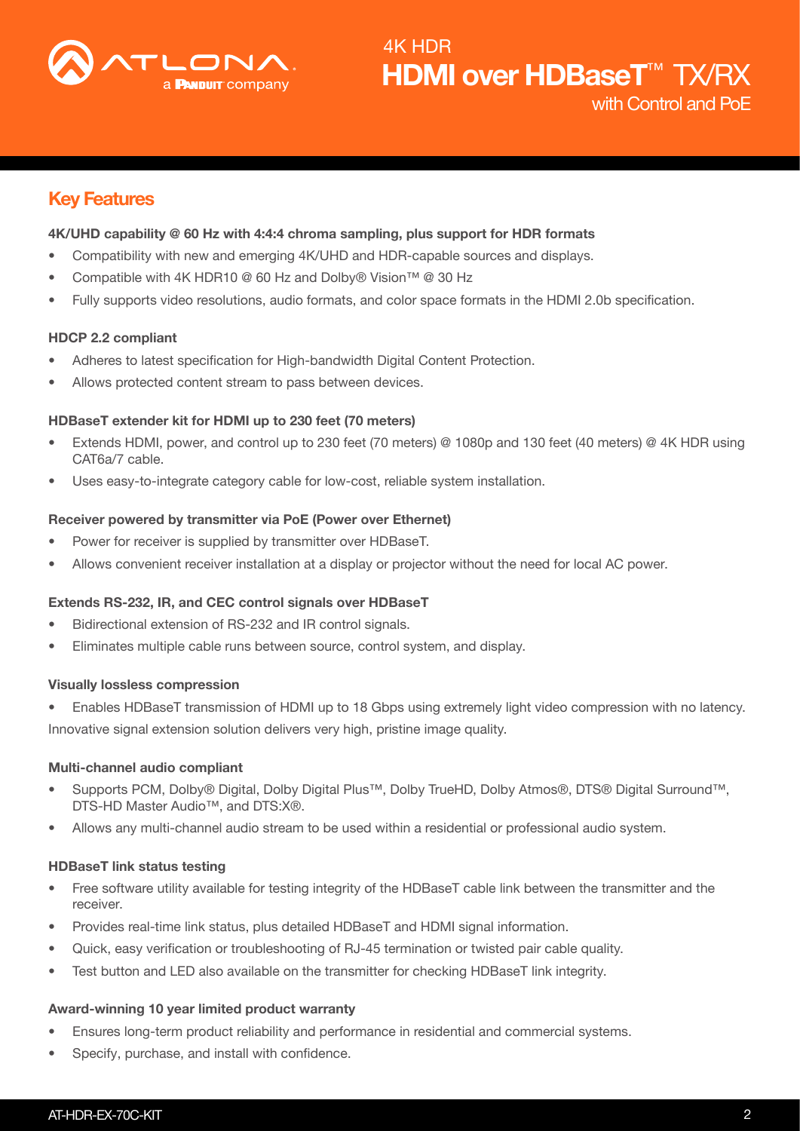

## Key Features

#### 4K/UHD capability @ 60 Hz with 4:4:4 chroma sampling, plus support for HDR formats

- Compatibility with new and emerging 4K/UHD and HDR-capable sources and displays.
- Compatible with 4K HDR10 @ 60 Hz and Dolby® Vision™ @ 30 Hz
- Fully supports video resolutions, audio formats, and color space formats in the HDMI 2.0b specification.

#### HDCP 2.2 compliant

- Adheres to latest specification for High-bandwidth Digital Content Protection.
- Allows protected content stream to pass between devices.

#### HDBaseT extender kit for HDMI up to 230 feet (70 meters)

- Extends HDMI, power, and control up to 230 feet (70 meters) @ 1080p and 130 feet (40 meters) @ 4K HDR using CAT6a/7 cable.
- Uses easy-to-integrate category cable for low-cost, reliable system installation.

#### Receiver powered by transmitter via PoE (Power over Ethernet)

- Power for receiver is supplied by transmitter over HDBaseT.
- Allows convenient receiver installation at a display or projector without the need for local AC power.

#### Extends RS-232, IR, and CEC control signals over HDBaseT

- Bidirectional extension of RS-232 and IR control signals.
- Eliminates multiple cable runs between source, control system, and display.

#### Visually lossless compression

• Enables HDBaseT transmission of HDMI up to 18 Gbps using extremely light video compression with no latency. Innovative signal extension solution delivers very high, pristine image quality.

#### Multi-channel audio compliant

- Supports PCM, Dolby® Digital, Dolby Digital Plus™, Dolby TrueHD, Dolby Atmos®, DTS® Digital Surround™, DTS-HD Master Audio™, and DTS:X®.
- Allows any multi-channel audio stream to be used within a residential or professional audio system.

#### HDBaseT link status testing

- Free software utility available for testing integrity of the HDBaseT cable link between the transmitter and the receiver.
- Provides real-time link status, plus detailed HDBaseT and HDMI signal information.
- Quick, easy verification or troubleshooting of RJ-45 termination or twisted pair cable quality.
- Test button and LED also available on the transmitter for checking HDBaseT link integrity.

#### Award-winning 10 year limited product warranty

- Ensures long-term product reliability and performance in residential and commercial systems.
- Specify, purchase, and install with confidence.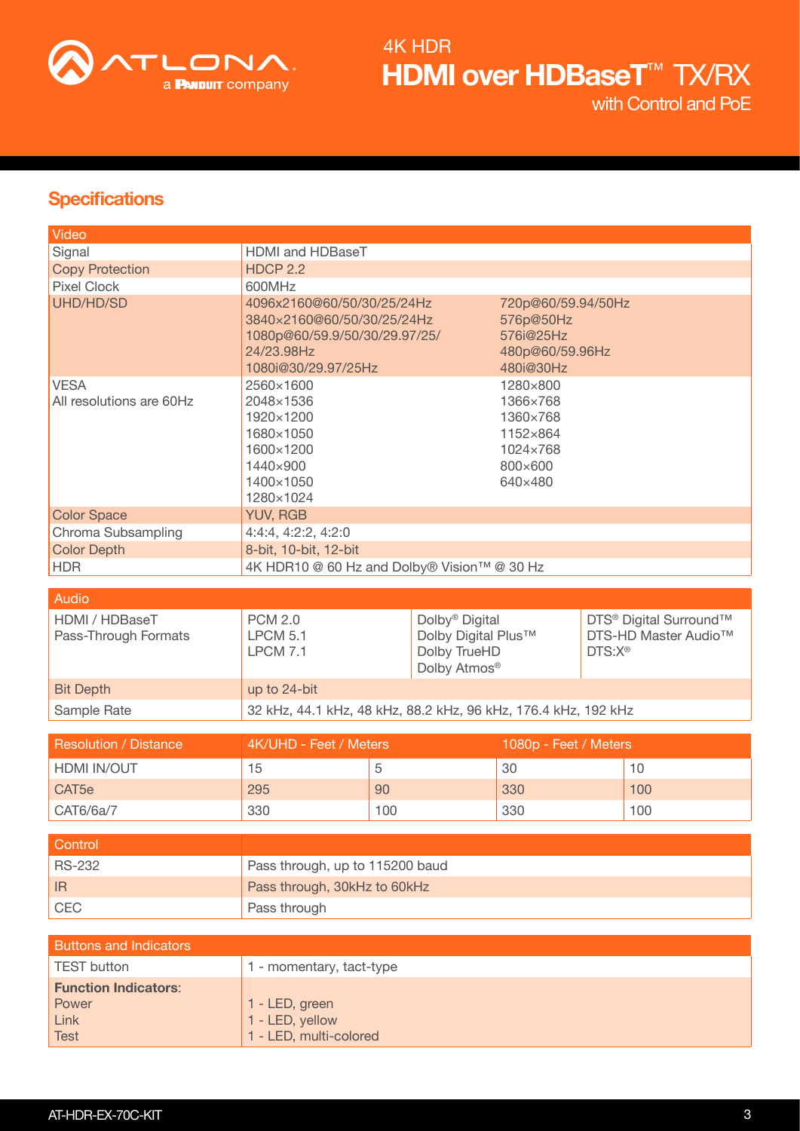

## **Specifications**

| Video                                                              |                                                                                                                                |     |                                                                                               |     |                    |                                                                        |
|--------------------------------------------------------------------|--------------------------------------------------------------------------------------------------------------------------------|-----|-----------------------------------------------------------------------------------------------|-----|--------------------|------------------------------------------------------------------------|
| Signal                                                             | HDMI and HDBaseT                                                                                                               |     |                                                                                               |     |                    |                                                                        |
| <b>Copy Protection</b>                                             | <b>HDCP 2.2</b>                                                                                                                |     |                                                                                               |     |                    |                                                                        |
| <b>Pixel Clock</b>                                                 | 600MHz                                                                                                                         |     |                                                                                               |     |                    |                                                                        |
| <b>UHD/HD/SD</b>                                                   | 4096x2160@60/50/30/25/24Hz<br>3840×2160@60/50/30/25/24Hz<br>1080p@60/59.9/50/30/29.97/25/<br>24/23.98Hz<br>1080i@30/29.97/25Hz |     | 720p@60/59.94/50Hz<br>576p@50Hz<br>576i@25Hz<br>480p@60/59.96Hz<br>480i@30Hz                  |     |                    |                                                                        |
| <b>VESA</b><br>All resolutions are 60Hz                            | 2560×1600<br>2048×1536<br>1920×1200<br>1680×1050<br>1600×1200<br>1440×900<br>1400×1050<br>1280×1024                            |     | 1280×800<br>1366×768<br>1360×768<br>1152×864<br>1024×768<br>800×600<br>640×480                |     |                    |                                                                        |
| <b>Color Space</b>                                                 | <b>YUV, RGB</b>                                                                                                                |     |                                                                                               |     |                    |                                                                        |
| Chroma Subsampling                                                 | 4:4:4, 4:2:2, 4:2:0                                                                                                            |     |                                                                                               |     |                    |                                                                        |
| <b>Color Depth</b>                                                 | 8-bit, 10-bit, 12-bit                                                                                                          |     |                                                                                               |     |                    |                                                                        |
| <b>HDR</b>                                                         | 4K HDR10 @ 60 Hz and Dolby® Vision™ @ 30 Hz                                                                                    |     |                                                                                               |     |                    |                                                                        |
|                                                                    |                                                                                                                                |     |                                                                                               |     |                    |                                                                        |
| Audio                                                              |                                                                                                                                |     |                                                                                               |     |                    |                                                                        |
| HDMI / HDBaseT<br>Pass-Through Formats                             | <b>PCM 2.0</b><br><b>LPCM 5.1</b><br><b>LPCM 7.1</b>                                                                           |     | Dolby <sup>®</sup> Digital<br>Dolby Digital Plus™<br>Dolby TrueHD<br>Dolby Atmos <sup>®</sup> |     | DTS:X <sup>®</sup> | DTS <sup>®</sup> Digital Surround™<br>DTS-HD Master Audio <sup>™</sup> |
| <b>Bit Depth</b>                                                   | up to 24-bit                                                                                                                   |     |                                                                                               |     |                    |                                                                        |
| Sample Rate                                                        | 32 kHz, 44.1 kHz, 48 kHz, 88.2 kHz, 96 kHz, 176.4 kHz, 192 kHz                                                                 |     |                                                                                               |     |                    |                                                                        |
|                                                                    |                                                                                                                                |     |                                                                                               |     |                    |                                                                        |
| <b>Resolution / Distance</b>                                       | 4K/UHD - Feet / Meters<br>1080p - Feet / Meters                                                                                |     |                                                                                               |     |                    |                                                                        |
| HDMI IN/OUT                                                        | 15                                                                                                                             | 5   |                                                                                               | 30  |                    | 10                                                                     |
| CAT <sub>5e</sub>                                                  | 295                                                                                                                            | 90  |                                                                                               | 330 |                    | 100                                                                    |
|                                                                    |                                                                                                                                |     |                                                                                               |     |                    |                                                                        |
| CAT6/6a/7                                                          | 330                                                                                                                            | 100 |                                                                                               | 330 |                    | 100                                                                    |
|                                                                    |                                                                                                                                |     |                                                                                               |     |                    |                                                                        |
| Control                                                            |                                                                                                                                |     |                                                                                               |     |                    |                                                                        |
| <b>RS-232</b>                                                      | Pass through, up to 115200 baud                                                                                                |     |                                                                                               |     |                    |                                                                        |
| IR                                                                 | Pass through, 30kHz to 60kHz                                                                                                   |     |                                                                                               |     |                    |                                                                        |
| CEC                                                                | Pass through                                                                                                                   |     |                                                                                               |     |                    |                                                                        |
|                                                                    |                                                                                                                                |     |                                                                                               |     |                    |                                                                        |
| <b>Buttons and Indicators</b>                                      |                                                                                                                                |     |                                                                                               |     |                    |                                                                        |
| <b>TEST button</b>                                                 | 1 - momentary, tact-type                                                                                                       |     |                                                                                               |     |                    |                                                                        |
| <b>Function Indicators:</b><br>Power<br><b>Link</b><br><b>Test</b> | 1 - LED, green<br>1 - LED, yellow<br>1 - LED, multi-colored                                                                    |     |                                                                                               |     |                    |                                                                        |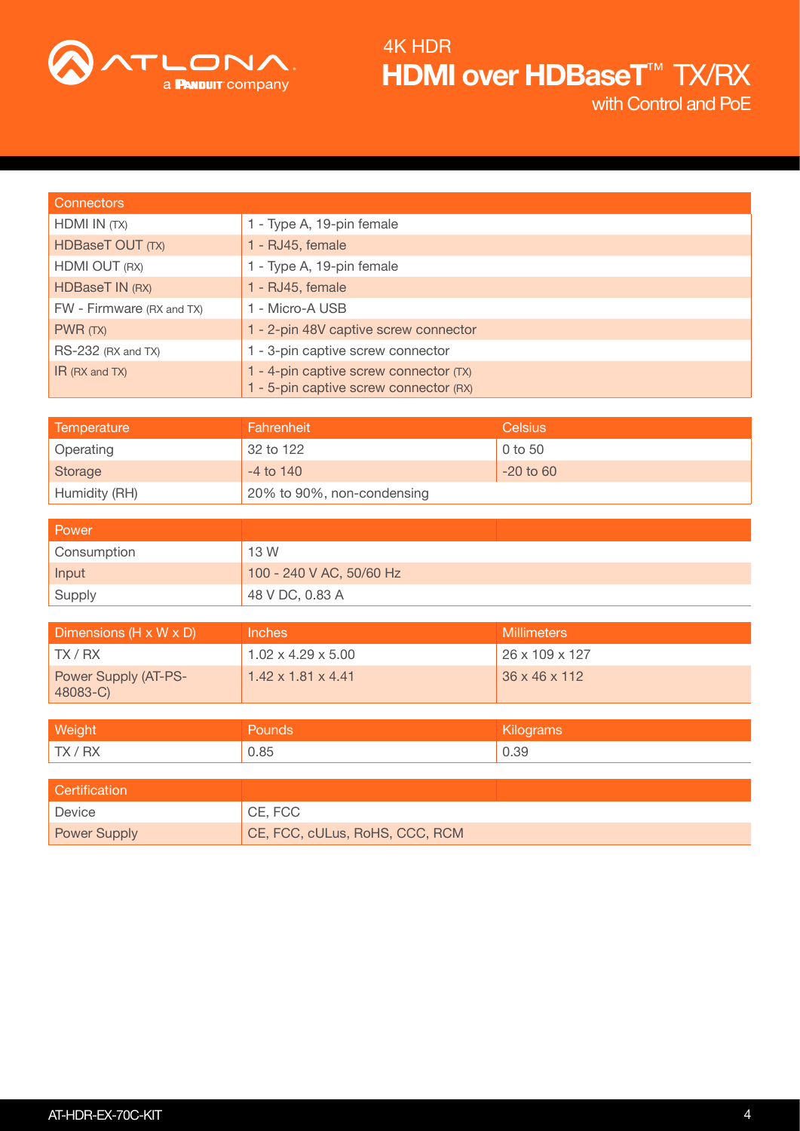

| <b>Connectors</b>         |                                                                                  |
|---------------------------|----------------------------------------------------------------------------------|
| HDMI IN (TX)              | 1 - Type A, 19-pin female                                                        |
| HDBaseT OUT (TX)          | 1 - RJ45, female                                                                 |
| HDMI OUT (RX)             | 1 - Type A, 19-pin female                                                        |
| HDBaseT IN (RX)           | 1 - RJ45, female                                                                 |
| FW - Firmware (RX and TX) | 1 - Micro-A USB                                                                  |
| PWR(TX)                   | 1 - 2-pin 48V captive screw connector                                            |
| RS-232 (RX and TX)        | 1 - 3-pin captive screw connector                                                |
| $IR$ (RX and TX)          | 1 - 4-pin captive screw connector (TX)<br>1 - 5-pin captive screw connector (RX) |

| Temperature   | Fahrenheit                 | Celsius     |
|---------------|----------------------------|-------------|
| Operating     | 32 to 122                  | 0 to 50     |
| Storage       | $-4$ to $140$              | $-20$ to 60 |
| Humidity (RH) | 20% to 90%, non-condensing |             |

| Power       |                          |
|-------------|--------------------------|
| Consumption | 13 W                     |
| Input       | 100 - 240 V AC, 50/60 Hz |
| Supply      | 48 V DC, 0.83 A          |

| Dimensions (H x W x D)           | Inches                         | <b>Millimeters</b>         |
|----------------------------------|--------------------------------|----------------------------|
| TX/RX                            | $1.02 \times 4.29 \times 5.00$ | $26 \times 109 \times 127$ |
| Power Supply (AT-PS-<br>48083-C) | $1.42 \times 1.81 \times 4.41$ | $36 \times 46 \times 112$  |

| <b>Weight</b> | <b>Pounds</b> | Kilograms |
|---------------|---------------|-----------|
| TX/RX         | 0.85          | 0.39      |

| <b>Certification</b> |                                |
|----------------------|--------------------------------|
| Device               | CE, FCC                        |
| <b>Power Supply</b>  | CE, FCC, cULus, RoHS, CCC, RCM |